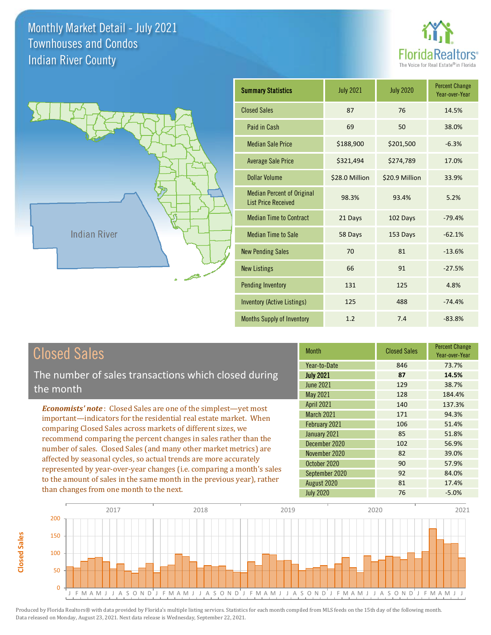



| <b>Summary Statistics</b>                                       | <b>July 2021</b> | <b>July 2020</b> | <b>Percent Change</b><br>Year-over-Year |
|-----------------------------------------------------------------|------------------|------------------|-----------------------------------------|
| <b>Closed Sales</b>                                             | 87               | 76               | 14.5%                                   |
| Paid in Cash                                                    | 69               | 50               | 38.0%                                   |
| <b>Median Sale Price</b>                                        | \$188,900        | \$201,500        | $-6.3%$                                 |
| <b>Average Sale Price</b>                                       | \$321,494        | \$274,789        | 17.0%                                   |
| Dollar Volume                                                   | \$28.0 Million   | \$20.9 Million   | 33.9%                                   |
| <b>Median Percent of Original</b><br><b>List Price Received</b> | 98.3%            | 93.4%            | 5.2%                                    |
| <b>Median Time to Contract</b>                                  | 21 Days          | 102 Days         | $-79.4%$                                |
| <b>Median Time to Sale</b>                                      | 58 Days          | 153 Days         | $-62.1%$                                |
| <b>New Pending Sales</b>                                        | 70               | 81               | $-13.6%$                                |
| <b>New Listings</b>                                             | 66               | 91               | $-27.5%$                                |
| <b>Pending Inventory</b>                                        | 131              | 125              | 4.8%                                    |
| <b>Inventory (Active Listings)</b>                              | 125              | 488              | $-74.4%$                                |
| <b>Months Supply of Inventory</b>                               | 1.2              | 7.4              | $-83.8%$                                |

# Closed Sales

**Closed Sales**

**Closed Sales** 

The number of sales transactions which closed during the month

*Economists' note* : Closed Sales are one of the simplest—yet most important—indicators for the residential real estate market. When comparing Closed Sales across markets of different sizes, we recommend comparing the percent changes in sales rather than the number of sales. Closed Sales (and many other market metrics) are affected by seasonal cycles, so actual trends are more accurately represented by year-over-year changes (i.e. comparing a month's sales to the amount of sales in the same month in the previous year), rather than changes from one month to the next.

| <b>Month</b>      | <b>Closed Sales</b> | <b>Percent Change</b><br>Year-over-Year |
|-------------------|---------------------|-----------------------------------------|
| Year-to-Date      | 846                 | 73.7%                                   |
| <b>July 2021</b>  | 87                  | 14.5%                                   |
| June 2021         | 129                 | 38.7%                                   |
| May 2021          | 128                 | 184.4%                                  |
| <b>April 2021</b> | 140                 | 137.3%                                  |
| <b>March 2021</b> | 171                 | 94.3%                                   |
| February 2021     | 106                 | 51.4%                                   |
| January 2021      | 85                  | 51.8%                                   |
| December 2020     | 102                 | 56.9%                                   |
| November 2020     | 82                  | 39.0%                                   |
| October 2020      | 90                  | 57.9%                                   |
| September 2020    | 92                  | 84.0%                                   |
| August 2020       | 81                  | 17.4%                                   |
| <b>July 2020</b>  | 76                  | $-5.0%$                                 |

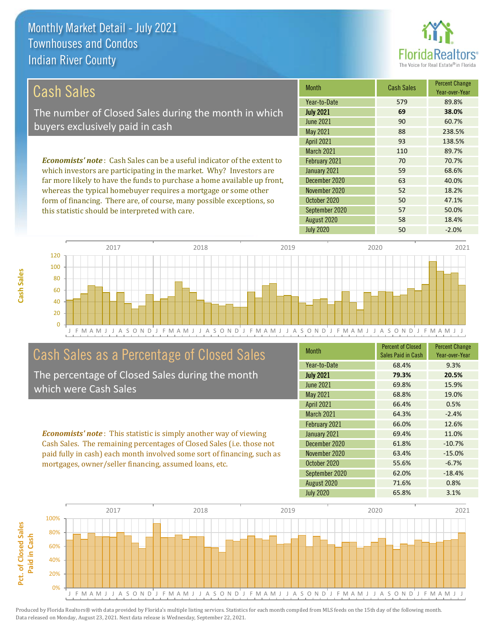

| Cash Sales                                                                     | <b>Month</b>      | <b>Cash Sales</b> | <b>Percent Change</b><br>Year-over-Year |
|--------------------------------------------------------------------------------|-------------------|-------------------|-----------------------------------------|
|                                                                                | Year-to-Date      | 579               | 89.8%                                   |
| The number of Closed Sales during the month in which                           | <b>July 2021</b>  | 69                | 38.0%                                   |
| buyers exclusively paid in cash                                                | June 2021         | 90                | 60.7%                                   |
|                                                                                | May 2021          | 88                | 238.5%                                  |
|                                                                                | <b>April 2021</b> | 93                | 138.5%                                  |
|                                                                                | <b>March 2021</b> | 110               | 89.7%                                   |
| <b>Economists' note:</b> Cash Sales can be a useful indicator of the extent to | February 2021     | 70                | 70.7%                                   |
| which investors are participating in the market. Why? Investors are            | January 2021      | 59                | 68.6%                                   |
| far more likely to have the funds to purchase a home available up front,       | December 2020     | 63                | 40.0%                                   |

whereas the typical homebuyer requires a mortgage or some other form of financing. There are, of course, many possible exceptions, so this statistic should be interpreted with care.

| IVIUILII          | <b>UQJII JAIGJ</b> | Year-over-Year |
|-------------------|--------------------|----------------|
| Year-to-Date      | 579                | 89.8%          |
| <b>July 2021</b>  | 69                 | 38.0%          |
| <b>June 2021</b>  | 90                 | 60.7%          |
| <b>May 2021</b>   | 88                 | 238.5%         |
| <b>April 2021</b> | 93                 | 138.5%         |
| <b>March 2021</b> | 110                | 89.7%          |
| February 2021     | 70                 | 70.7%          |
| January 2021      | 59                 | 68.6%          |
| December 2020     | 63                 | 40.0%          |
| November 2020     | 52                 | 18.2%          |
| October 2020      | 50                 | 47.1%          |
| September 2020    | 57                 | 50.0%          |
| August 2020       | 58                 | 18.4%          |
| <b>July 2020</b>  | 50                 | $-2.0%$        |



### Cash Sales as a Percentage of Closed Sales

The percentage of Closed Sales during the month which were Cash Sales

*Economists' note* : This statistic is simply another way of viewing Cash Sales. The remaining percentages of Closed Sales (i.e. those not paid fully in cash) each month involved some sort of financing, such as mortgages, owner/seller financing, assumed loans, etc.

| <b>Month</b>      | <b>Percent of Closed</b><br>Sales Paid in Cash | <b>Percent Change</b><br>Year-over-Year |
|-------------------|------------------------------------------------|-----------------------------------------|
| Year-to-Date      | 68.4%                                          | 9.3%                                    |
| <b>July 2021</b>  | 79.3%                                          | 20.5%                                   |
| <b>June 2021</b>  | 69.8%                                          | 15.9%                                   |
| May 2021          | 68.8%                                          | 19.0%                                   |
| <b>April 2021</b> | 66.4%                                          | 0.5%                                    |
| March 2021        | 64.3%                                          | $-2.4%$                                 |
| February 2021     | 66.0%                                          | 12.6%                                   |
| January 2021      | 69.4%                                          | 11.0%                                   |
| December 2020     | 61.8%                                          | $-10.7%$                                |
| November 2020     | 63.4%                                          | $-15.0%$                                |
| October 2020      | 55.6%                                          | $-6.7%$                                 |
| September 2020    | 62.0%                                          | $-18.4%$                                |
| August 2020       | 71.6%                                          | 0.8%                                    |
| <b>July 2020</b>  | 65.8%                                          | 3.1%                                    |

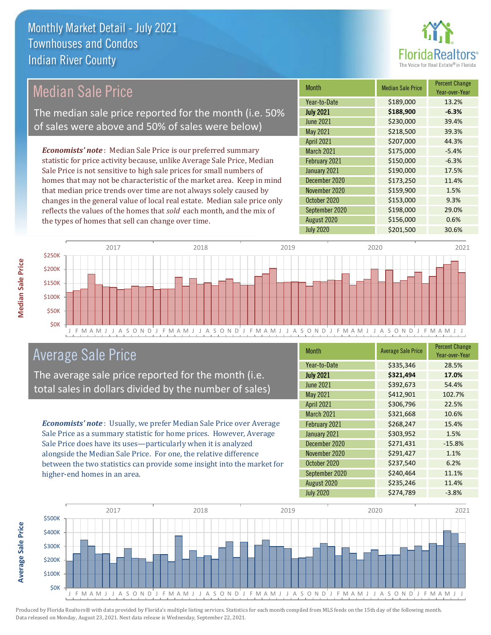

# Median Sale Price

The median sale price reported for the month (i.e. 50% of sales were above and 50% of sales were below)

*Economists' note* : Median Sale Price is our preferred summary statistic for price activity because, unlike Average Sale Price, Median Sale Price is not sensitive to high sale prices for small numbers of homes that may not be characteristic of the market area. Keep in mind that median price trends over time are not always solely caused by changes in the general value of local real estate. Median sale price only reflects the values of the homes that *sold* each month, and the mix of the types of homes that sell can change over time.

| <b>Month</b>      | <b>Median Sale Price</b> | <b>Percent Change</b><br>Year-over-Year |
|-------------------|--------------------------|-----------------------------------------|
| Year-to-Date      | \$189,000                | 13.2%                                   |
| <b>July 2021</b>  | \$188,900                | $-6.3%$                                 |
| <b>June 2021</b>  | \$230,000                | 39.4%                                   |
| May 2021          | \$218,500                | 39.3%                                   |
| <b>April 2021</b> | \$207,000                | 44.3%                                   |
| <b>March 2021</b> | \$175,000                | $-5.4%$                                 |
| February 2021     | \$150,000                | $-6.3%$                                 |
| January 2021      | \$190,000                | 17.5%                                   |
| December 2020     | \$173,250                | 11.4%                                   |
| November 2020     | \$159,900                | 1.5%                                    |
| October 2020      | \$153,000                | 9.3%                                    |
| September 2020    | \$198,000                | 29.0%                                   |
| August 2020       | \$156,000                | 0.6%                                    |
| <b>July 2020</b>  | \$201,500                | 30.6%                                   |



### Average Sale Price

The average sale price reported for the month (i.e. total sales in dollars divided by the number of sales)

*Economists' note* : Usually, we prefer Median Sale Price over Average Sale Price as a summary statistic for home prices. However, Average Sale Price does have its uses—particularly when it is analyzed alongside the Median Sale Price. For one, the relative difference between the two statistics can provide some insight into the market for higher-end homes in an area.

| Month             | <b>Average Sale Price</b> | <b>Percent Change</b><br>Year-over-Year |
|-------------------|---------------------------|-----------------------------------------|
| Year-to-Date      | \$335,346                 | 28.5%                                   |
| <b>July 2021</b>  | \$321,494                 | 17.0%                                   |
| <b>June 2021</b>  | \$392,673                 | 54.4%                                   |
| May 2021          | \$412,901                 | 102.7%                                  |
| <b>April 2021</b> | \$306,796                 | 22.5%                                   |
| March 2021        | \$321,668                 | 10.6%                                   |
| February 2021     | \$268,247                 | 15.4%                                   |
| January 2021      | \$303,952                 | 1.5%                                    |
| December 2020     | \$271,431                 | $-15.8%$                                |
| November 2020     | \$291,427                 | 1.1%                                    |
| October 2020      | \$237,540                 | 6.2%                                    |
| September 2020    | \$240,464                 | 11.1%                                   |
| August 2020       | \$235,246                 | 11.4%                                   |
| <b>July 2020</b>  | \$274,789                 | $-3.8%$                                 |



**Median Sale Price**

**Median Sale Price** 

**Average Sale Price Average Sale Price**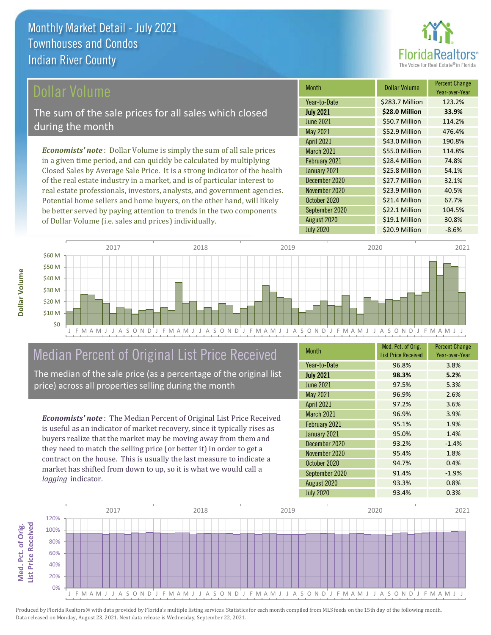

### ollar Volume

The sum of the sale prices for all sales which closed during the month

*Economists' note* : Dollar Volume is simply the sum of all sale prices in a given time period, and can quickly be calculated by multiplying Closed Sales by Average Sale Price. It is a strong indicator of the health of the real estate industry in a market, and is of particular interest to real estate professionals, investors, analysts, and government agencies. Potential home sellers and home buyers, on the other hand, will likely be better served by paying attention to trends in the two components of Dollar Volume (i.e. sales and prices) individually.

| <b>Month</b>      | <b>Dollar Volume</b> | <b>Percent Change</b><br>Year-over-Year |
|-------------------|----------------------|-----------------------------------------|
| Year-to-Date      | \$283.7 Million      | 123.2%                                  |
| <b>July 2021</b>  | \$28.0 Million       | 33.9%                                   |
| June 2021         | \$50.7 Million       | 114.2%                                  |
| <b>May 2021</b>   | \$52.9 Million       | 476.4%                                  |
| <b>April 2021</b> | \$43.0 Million       | 190.8%                                  |
| <b>March 2021</b> | \$55.0 Million       | 114.8%                                  |
| February 2021     | \$28.4 Million       | 74.8%                                   |
| January 2021      | \$25.8 Million       | 54.1%                                   |
| December 2020     | \$27.7 Million       | 32.1%                                   |
| November 2020     | \$23.9 Million       | 40.5%                                   |
| October 2020      | \$21.4 Million       | 67.7%                                   |
| September 2020    | \$22.1 Million       | 104.5%                                  |
| August 2020       | \$19.1 Million       | 30.8%                                   |
| <b>July 2020</b>  | \$20.9 Million       | $-8.6%$                                 |



# Median Percent of Original List Price Received

The median of the sale price (as a percentage of the original list price) across all properties selling during the month

*Economists' note* : The Median Percent of Original List Price Received is useful as an indicator of market recovery, since it typically rises as buyers realize that the market may be moving away from them and they need to match the selling price (or better it) in order to get a contract on the house. This is usually the last measure to indicate a market has shifted from down to up, so it is what we would call a *lagging* indicator.

| <b>Month</b>      | Med. Pct. of Orig.<br><b>List Price Received</b> | <b>Percent Change</b><br>Year-over-Year |
|-------------------|--------------------------------------------------|-----------------------------------------|
| Year-to-Date      | 96.8%                                            | 3.8%                                    |
| <b>July 2021</b>  | 98.3%                                            | 5.2%                                    |
| <b>June 2021</b>  | 97.5%                                            | 5.3%                                    |
| May 2021          | 96.9%                                            | 2.6%                                    |
| <b>April 2021</b> | 97.2%                                            | 3.6%                                    |
| March 2021        | 96.9%                                            | 3.9%                                    |
| February 2021     | 95.1%                                            | 1.9%                                    |
| January 2021      | 95.0%                                            | 1.4%                                    |
| December 2020     | 93.2%                                            | $-1.4%$                                 |
| November 2020     | 95.4%                                            | 1.8%                                    |
| October 2020      | 94.7%                                            | 0.4%                                    |
| September 2020    | 91.4%                                            | $-1.9%$                                 |
| August 2020       | 93.3%                                            | 0.8%                                    |
| <b>July 2020</b>  | 93.4%                                            | 0.3%                                    |

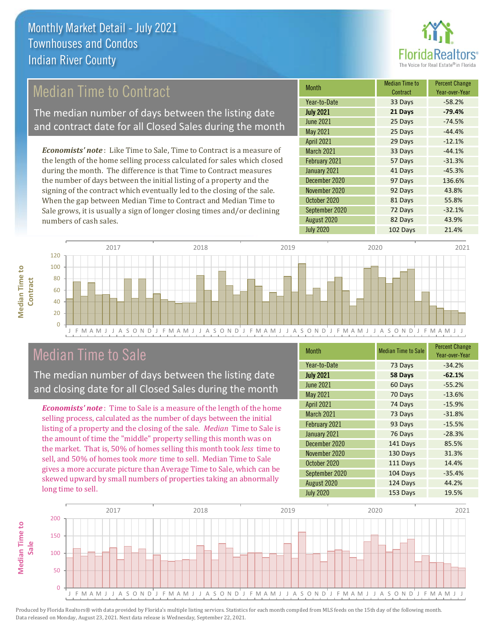

## Median Time to Contract

The median number of days between the listing date and contract date for all Closed Sales during the month

*Economists' note* : Like Time to Sale, Time to Contract is a measure of the length of the home selling process calculated for sales which closed during the month. The difference is that Time to Contract measures the number of days between the initial listing of a property and the signing of the contract which eventually led to the closing of the sale. When the gap between Median Time to Contract and Median Time to Sale grows, it is usually a sign of longer closing times and/or declining numbers of cash sales.

| <b>Month</b>      | <b>Median Time to</b><br>Contract | <b>Percent Change</b><br>Year-over-Year |
|-------------------|-----------------------------------|-----------------------------------------|
| Year-to-Date      | 33 Days                           | $-58.2%$                                |
| <b>July 2021</b>  | 21 Days                           | $-79.4%$                                |
| <b>June 2021</b>  | 25 Days                           | $-74.5%$                                |
| May 2021          | 25 Days                           | $-44.4%$                                |
| <b>April 2021</b> | 29 Days                           | $-12.1%$                                |
| March 2021        | 33 Days                           | $-44.1%$                                |
| February 2021     | 57 Days                           | $-31.3%$                                |
| January 2021      | 41 Days                           | $-45.3%$                                |
| December 2020     | 97 Days                           | 136.6%                                  |
| November 2020     | 92 Days                           | 43.8%                                   |
| October 2020      | 81 Days                           | 55.8%                                   |
| September 2020    | 72 Days                           | $-32.1%$                                |
| August 2020       | 82 Days                           | 43.9%                                   |
| <b>July 2020</b>  | 102 Days                          | 21.4%                                   |



### Median Time to Sale

**Median Time to Contract**

**Median Time to** 

The median number of days between the listing date and closing date for all Closed Sales during the month

*Economists' note* : Time to Sale is a measure of the length of the home selling process, calculated as the number of days between the initial listing of a property and the closing of the sale. *Median* Time to Sale is the amount of time the "middle" property selling this month was on the market. That is, 50% of homes selling this month took *less* time to sell, and 50% of homes took *more* time to sell. Median Time to Sale gives a more accurate picture than Average Time to Sale, which can be skewed upward by small numbers of properties taking an abnormally long time to sell.

| <b>Month</b>      | <b>Median Time to Sale</b> | <b>Percent Change</b><br>Year-over-Year |
|-------------------|----------------------------|-----------------------------------------|
| Year-to-Date      | 73 Days                    | $-34.2%$                                |
| <b>July 2021</b>  | 58 Days                    | $-62.1%$                                |
| <b>June 2021</b>  | 60 Days                    | $-55.2%$                                |
| <b>May 2021</b>   | 70 Days                    | $-13.6%$                                |
| <b>April 2021</b> | 74 Days                    | $-15.9%$                                |
| <b>March 2021</b> | 73 Days                    | $-31.8%$                                |
| February 2021     | 93 Days                    | $-15.5%$                                |
| January 2021      | 76 Days                    | $-28.3%$                                |
| December 2020     | 141 Days                   | 85.5%                                   |
| November 2020     | 130 Days                   | 31.3%                                   |
| October 2020      | 111 Days                   | 14.4%                                   |
| September 2020    | 104 Days                   | $-35.4%$                                |
| August 2020       | 124 Days                   | 44.2%                                   |
| <b>July 2020</b>  | 153 Days                   | 19.5%                                   |

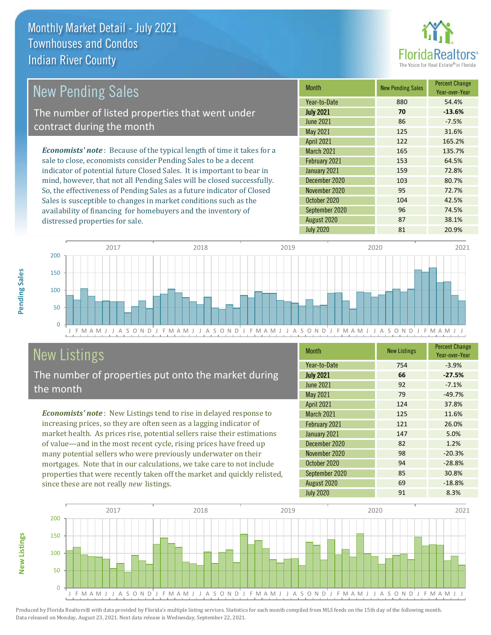distressed properties for sale.



| New Pending Sales                                                              | <b>Month</b>      | <b>New Pending Sales</b> | <b>Percent Change</b><br>Year-over-Year |
|--------------------------------------------------------------------------------|-------------------|--------------------------|-----------------------------------------|
|                                                                                | Year-to-Date      | 880                      | 54.4%                                   |
| The number of listed properties that went under                                | <b>July 2021</b>  | 70                       | $-13.6%$                                |
| contract during the month                                                      | <b>June 2021</b>  | 86                       | $-7.5%$                                 |
|                                                                                | May 2021          | 125                      | 31.6%                                   |
|                                                                                | <b>April 2021</b> | 122                      | 165.2%                                  |
| <b>Economists' note</b> : Because of the typical length of time it takes for a | <b>March 2021</b> | 165                      | 135.7%                                  |
| sale to close, economists consider Pending Sales to be a decent                | February 2021     | 153                      | 64.5%                                   |
| indicator of potential future Closed Sales. It is important to bear in         | January 2021      | 159                      | 72.8%                                   |
| mind, however, that not all Pending Sales will be closed successfully.         | December 2020     | 103                      | 80.7%                                   |
| So, the effectiveness of Pending Sales as a future indicator of Closed         | November 2020     | 95                       | 72.7%                                   |
| Sales is susceptible to changes in market conditions such as the               | October 2020      | 104                      | 42.5%                                   |

J F M A M J J A S O N D J F M A M J J A S O N D J F M A M J J A S O N D J F M A M J J A S O N D J F M A M J J 0 50 100 150 200 2017 2018 2019 2020 2021

# New Listings

The number of properties put onto the market during the month

availability of financing for homebuyers and the inventory of

*Economists' note* : New Listings tend to rise in delayed response to increasing prices, so they are often seen as a lagging indicator of market health. As prices rise, potential sellers raise their estimations of value—and in the most recent cycle, rising prices have freed up many potential sellers who were previously underwater on their mortgages. Note that in our calculations, we take care to not include properties that were recently taken off the market and quickly relisted, since these are not really *new* listings.

| <b>Month</b>      | <b>New Listings</b> | <b>Percent Change</b><br>Year-over-Year |
|-------------------|---------------------|-----------------------------------------|
| Year-to-Date      | 754                 | $-3.9%$                                 |
| <b>July 2021</b>  | 66                  | $-27.5%$                                |
| <b>June 2021</b>  | 92                  | $-7.1%$                                 |
| May 2021          | 79                  | $-49.7%$                                |
| <b>April 2021</b> | 124                 | 37.8%                                   |
| <b>March 2021</b> | 125                 | 11.6%                                   |
| February 2021     | 121                 | 26.0%                                   |
| January 2021      | 147                 | 5.0%                                    |
| December 2020     | 82                  | 1.2%                                    |
| November 2020     | 98                  | $-20.3%$                                |
| October 2020      | 94                  | $-28.8%$                                |
| September 2020    | 85                  | 30.8%                                   |
| August 2020       | 69                  | $-18.8%$                                |
| <b>July 2020</b>  | 91                  | 8.3%                                    |

July 2020 81 20.9%

September 2020 96 74.5% August 2020 87 38.1%



Produced by Florida Realtors® with data provided by Florida's multiple listing services. Statistics for each month compiled from MLS feeds on the 15th day of the following month. Data released on Monday, August 23, 2021. Next data release is Wednesday, September 22, 2021.

**New Listings**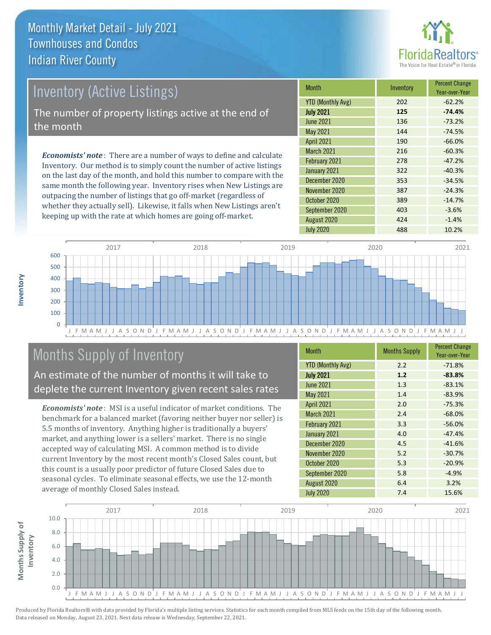

# Inventory (Active Listings)

The number of property listings active at the end of the month

*Economists' note* : There are a number of ways to define and calculate Inventory. Our method is to simply count the number of active listings on the last day of the month, and hold this number to compare with the same month the following year. Inventory rises when New Listings are outpacing the number of listings that go off-market (regardless of whether they actually sell). Likewise, it falls when New Listings aren't keeping up with the rate at which homes are going off-market.

| <b>Month</b>             | Inventory | <b>Percent Change</b><br>Year-over-Year |
|--------------------------|-----------|-----------------------------------------|
| <b>YTD (Monthly Avg)</b> | 202       | $-62.2%$                                |
| <b>July 2021</b>         | 125       | $-74.4%$                                |
| <b>June 2021</b>         | 136       | $-73.2%$                                |
| May 2021                 | 144       | $-74.5%$                                |
| <b>April 2021</b>        | 190       | $-66.0%$                                |
| <b>March 2021</b>        | 216       | $-60.3%$                                |
| February 2021            | 278       | $-47.2%$                                |
| January 2021             | 322       | $-40.3%$                                |
| December 2020            | 353       | $-34.5%$                                |
| November 2020            | 387       | $-24.3%$                                |
| October 2020             | 389       | $-14.7%$                                |
| September 2020           | 403       | $-3.6%$                                 |
| August 2020              | 424       | $-1.4%$                                 |
| <b>July 2020</b>         | 488       | 10.2%                                   |



# Months Supply of Inventory

An estimate of the number of months it will take to deplete the current Inventory given recent sales rates

*Economists' note* : MSI is a useful indicator of market conditions. The benchmark for a balanced market (favoring neither buyer nor seller) is 5.5 months of inventory. Anything higher is traditionally a buyers' market, and anything lower is a sellers' market. There is no single accepted way of calculating MSI. A common method is to divide current Inventory by the most recent month's Closed Sales count, but this count is a usually poor predictor of future Closed Sales due to seasonal cycles. To eliminate seasonal effects, we use the 12-month average of monthly Closed Sales instead.

| <b>Month</b>             | <b>Months Supply</b> | <b>Percent Change</b><br>Year-over-Year |
|--------------------------|----------------------|-----------------------------------------|
| <b>YTD (Monthly Avg)</b> | 2.2                  | $-71.8%$                                |
| <b>July 2021</b>         | 1.2                  | $-83.8%$                                |
| <b>June 2021</b>         | 1.3                  | $-83.1%$                                |
| May 2021                 | 1.4                  | $-83.9%$                                |
| <b>April 2021</b>        | 2.0                  | $-75.3%$                                |
| <b>March 2021</b>        | 2.4                  | $-68.0%$                                |
| February 2021            | 3.3                  | $-56.0%$                                |
| January 2021             | 4.0                  | $-47.4%$                                |
| December 2020            | 4.5                  | $-41.6%$                                |
| November 2020            | 5.2                  | $-30.7%$                                |
| October 2020             | 5.3                  | $-20.9%$                                |
| September 2020           | 5.8                  | $-4.9%$                                 |
| August 2020              | 6.4                  | 3.2%                                    |
| <b>July 2020</b>         | 7.4                  | 15.6%                                   |

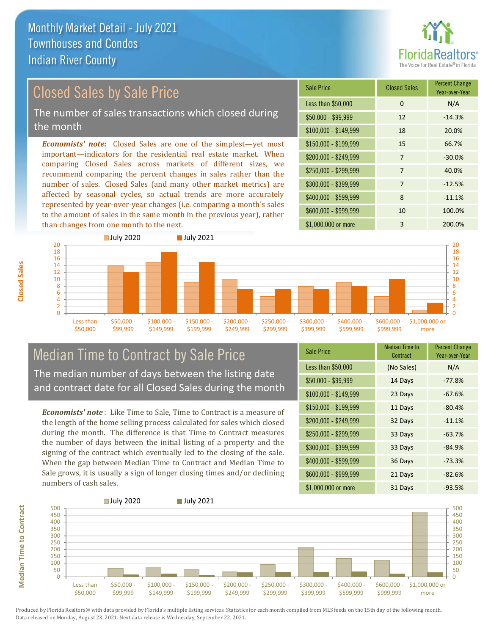

# Closed Sales by Sale Price

The number of sales transactions which closed during the month

*Economists' note:* Closed Sales are one of the simplest—yet most important—indicators for the residential real estate market. When comparing Closed Sales across markets of different sizes, we recommend comparing the percent changes in sales rather than the number of sales. Closed Sales (and many other market metrics) are affected by seasonal cycles, so actual trends are more accurately represented by year-over-year changes (i.e. comparing a month's sales to the amount of sales in the same month in the previous year), rather than changes from one month to the next.

| <b>Sale Price</b>     | <b>Closed Sales</b> | <b>Percent Change</b><br>Year-over-Year |
|-----------------------|---------------------|-----------------------------------------|
| Less than \$50,000    | 0                   | N/A                                     |
| $$50,000 - $99,999$   | 12                  | $-14.3%$                                |
| $$100,000 - $149,999$ | 18                  | 20.0%                                   |
| $$150,000 - $199,999$ | 15                  | 66.7%                                   |
| \$200,000 - \$249,999 | $\overline{7}$      | $-30.0%$                                |
| \$250,000 - \$299,999 | 7                   | 40.0%                                   |
| \$300,000 - \$399,999 | 7                   | $-12.5%$                                |
| \$400,000 - \$599,999 | 8                   | $-11.1%$                                |
| \$600,000 - \$999,999 | 10                  | 100.0%                                  |
| \$1,000,000 or more   | 3                   | 200.0%                                  |



### Median Time to Contract by Sale Price The median number of days between the listing date and contract date for all Closed Sales during the month

*Economists' note* : Like Time to Sale, Time to Contract is a measure of the length of the home selling process calculated for sales which closed during the month. The difference is that Time to Contract measures the number of days between the initial listing of a property and the signing of the contract which eventually led to the closing of the sale. When the gap between Median Time to Contract and Median Time to Sale grows, it is usually a sign of longer closing times and/or declining numbers of cash sales.

| <b>Sale Price</b>     | Median Time to<br>Contract | <b>Percent Change</b><br>Year-over-Year |
|-----------------------|----------------------------|-----------------------------------------|
| Less than \$50,000    | (No Sales)                 | N/A                                     |
| $$50,000 - $99,999$   | 14 Days                    | $-77.8%$                                |
| $$100,000 - $149,999$ | 23 Days                    | $-67.6%$                                |
| $$150,000 - $199,999$ | 11 Days                    | $-80.4%$                                |
| \$200,000 - \$249,999 | 32 Days                    | $-11.1%$                                |
| \$250,000 - \$299,999 | 33 Days                    | $-63.7%$                                |
| \$300,000 - \$399,999 | 33 Days                    | $-84.9%$                                |
| \$400,000 - \$599,999 | 36 Days                    | $-73.3%$                                |
| \$600,000 - \$999,999 | 21 Days                    | $-82.6%$                                |
| \$1,000,000 or more   | 31 Days                    | $-93.5%$                                |

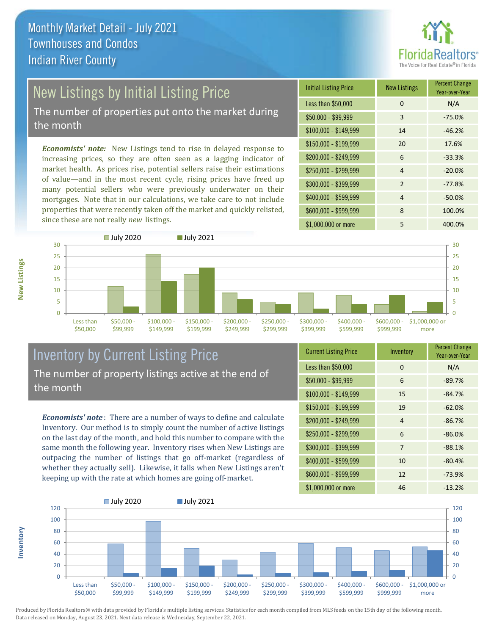

# New Listings by Initial Listing Price

The number of properties put onto the market during the month

*Economists' note:* New Listings tend to rise in delayed response to increasing prices, so they are often seen as a lagging indicator of market health. As prices rise, potential sellers raise their estimations of value—and in the most recent cycle, rising prices have freed up many potential sellers who were previously underwater on their mortgages. Note that in our calculations, we take care to not include properties that were recently taken off the market and quickly relisted, since these are not really *new* listings.





### Inventory by Current Listing Price The number of property listings active at the end of the month

*Economists' note* : There are a number of ways to define and calculate Inventory. Our method is to simply count the number of active listings on the last day of the month, and hold this number to compare with the same month the following year. Inventory rises when New Listings are outpacing the number of listings that go off-market (regardless of whether they actually sell). Likewise, it falls when New Listings aren't keeping up with the rate at which homes are going off-market.

| <b>Current Listing Price</b> | Inventory      | <b>Percent Change</b><br>Year-over-Year |
|------------------------------|----------------|-----------------------------------------|
| Less than \$50,000           | $\Omega$       | N/A                                     |
| $$50,000 - $99,999$          | 6              | $-89.7%$                                |
| $$100,000 - $149,999$        | 15             | $-84.7%$                                |
| $$150,000 - $199,999$        | 19             | $-62.0%$                                |
| \$200,000 - \$249,999        | $\overline{4}$ | $-86.7%$                                |
| \$250,000 - \$299,999        | 6              | $-86.0%$                                |
| \$300,000 - \$399,999        | 7              | $-88.1%$                                |
| \$400,000 - \$599,999        | 10             | $-80.4%$                                |
| \$600,000 - \$999,999        | 12             | $-73.9%$                                |
| \$1,000,000 or more          | 46             | $-13.2%$                                |



Produced by Florida Realtors® with data provided by Florida's multiple listing services. Statistics for each month compiled from MLS feeds on the 15th day of the following month. Data released on Monday, August 23, 2021. Next data release is Wednesday, September 22, 2021.

**Inventory**